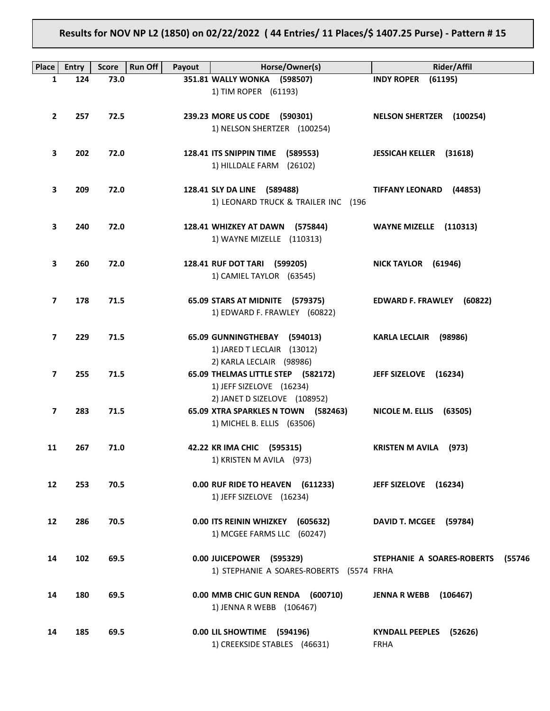**Results for NOV NP L2 (1850) on 02/22/2022 ( 44 Entries/ 11 Places/\$ 1407.25 Purse) - Pattern # 15**

| Place                   | <b>Entry</b> | <b>Run Off</b><br><b>Score</b> | Payout | Horse/Owner(s)                           | Rider/Affil                          |
|-------------------------|--------------|--------------------------------|--------|------------------------------------------|--------------------------------------|
| 1                       | 124          | 73.0                           |        | 351.81 WALLY WONKA (598507)              | <b>INDY ROPER</b><br>(61195)         |
|                         |              |                                |        | 1) TIM ROPER (61193)                     |                                      |
|                         |              |                                |        |                                          |                                      |
| $\mathbf{2}$            | 257          | 72.5                           |        | 239.23 MORE US CODE (590301)             | <b>NELSON SHERTZER (100254)</b>      |
|                         |              |                                |        | 1) NELSON SHERTZER (100254)              |                                      |
|                         |              |                                |        |                                          |                                      |
| 3                       | 202          | 72.0                           |        | 128.41 ITS SNIPPIN TIME (589553)         | <b>JESSICAH KELLER (31618)</b>       |
|                         |              |                                |        | 1) HILLDALE FARM (26102)                 |                                      |
|                         |              |                                |        |                                          |                                      |
| 3                       | 209          | 72.0                           |        | 128.41 SLY DA LINE (589488)              | TIFFANY LEONARD (44853)              |
|                         |              |                                |        | 1) LEONARD TRUCK & TRAILER INC (196      |                                      |
| 3                       | 240          | 72.0                           |        | 128.41 WHIZKEY AT DAWN (575844)          | WAYNE MIZELLE (110313)               |
|                         |              |                                |        | 1) WAYNE MIZELLE (110313)                |                                      |
|                         |              |                                |        |                                          |                                      |
| 3                       | 260          | 72.0                           |        | 128.41 RUF DOT TARI (599205)             | NICK TAYLOR (61946)                  |
|                         |              |                                |        | 1) CAMIEL TAYLOR (63545)                 |                                      |
|                         |              |                                |        |                                          |                                      |
| 7                       | 178          | 71.5                           |        | 65.09 STARS AT MIDNITE (579375)          | EDWARD F. FRAWLEY (60822)            |
|                         |              |                                |        | 1) EDWARD F. FRAWLEY (60822)             |                                      |
|                         |              |                                |        |                                          |                                      |
| $\overline{\mathbf{z}}$ | 229          | 71.5                           |        | 65.09 GUNNINGTHEBAY (594013)             | KARLA LECLAIR (98986)                |
|                         |              |                                |        | 1) JARED T LECLAIR (13012)               |                                      |
|                         |              |                                |        | 2) KARLA LECLAIR (98986)                 |                                      |
| 7                       | 255          | 71.5                           |        | 65.09 THELMAS LITTLE STEP (582172)       | JEFF SIZELOVE (16234)                |
|                         |              |                                |        | 1) JEFF SIZELOVE (16234)                 |                                      |
|                         |              |                                |        | 2) JANET D SIZELOVE (108952)             |                                      |
| $\overline{\mathbf{z}}$ | 283          | 71.5                           |        | 65.09 XTRA SPARKLES N TOWN (582463)      | NICOLE M. ELLIS (63505)              |
|                         |              |                                |        | 1) MICHEL B. ELLIS (63506)               |                                      |
| 11                      | 267          | 71.0                           |        | 42.22 KR IMA CHIC (595315)               | <b>KRISTEN M AVILA</b> (973)         |
|                         |              |                                |        | 1) KRISTEN M AVILA (973)                 |                                      |
|                         |              |                                |        |                                          |                                      |
| 12                      | 253          | 70.5                           |        | 0.00 RUF RIDE TO HEAVEN (611233)         | JEFF SIZELOVE (16234)                |
|                         |              |                                |        | 1) JEFF SIZELOVE (16234)                 |                                      |
|                         |              |                                |        |                                          |                                      |
| 12                      | 286          | 70.5                           |        | 0.00 ITS REININ WHIZKEY (605632)         | DAVID T. MCGEE (59784)               |
|                         |              |                                |        | 1) MCGEE FARMS LLC (60247)               |                                      |
|                         |              |                                |        |                                          |                                      |
| 14                      | 102          | 69.5                           |        | 0.00 JUICEPOWER (595329)                 | STEPHANIE A SOARES-ROBERTS<br>(55746 |
|                         |              |                                |        | 1) STEPHANIE A SOARES-ROBERTS (5574 FRHA |                                      |
|                         |              |                                |        |                                          |                                      |
| 14                      | 180          | 69.5                           |        | 0.00 MMB CHIC GUN RENDA (600710)         | <b>JENNA R WEBB</b> (106467)         |
|                         |              |                                |        | 1) JENNA R WEBB (106467)                 |                                      |
|                         |              |                                |        |                                          |                                      |
| 14                      | 185          | 69.5                           |        | 0.00 LIL SHOWTIME (594196)               | KYNDALL PEEPLES (52626)              |
|                         |              |                                |        | 1) CREEKSIDE STABLES (46631)             | <b>FRHA</b>                          |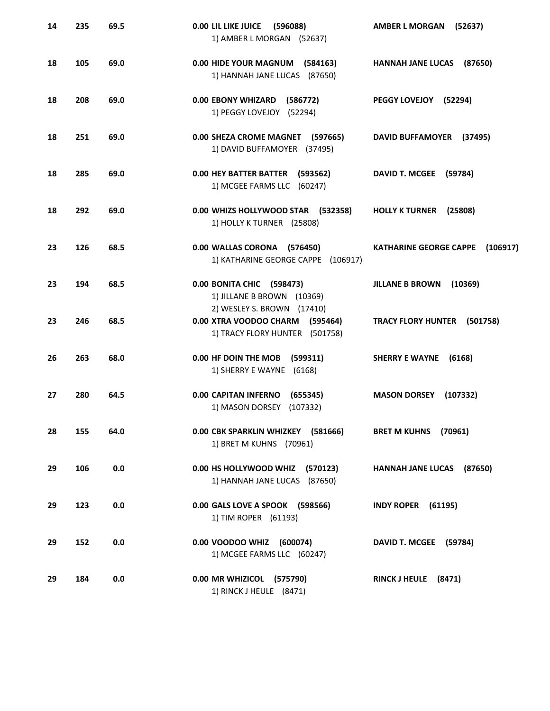| 14 | 235 | 69.5 | 0.00 LIL LIKE JUICE<br>(596088)<br>1) AMBER L MORGAN (52637)                                    | <b>AMBER L MORGAN</b><br>(52637)          |
|----|-----|------|-------------------------------------------------------------------------------------------------|-------------------------------------------|
| 18 | 105 | 69.0 | 0.00 HIDE YOUR MAGNUM (584163)<br>1) HANNAH JANE LUCAS (87650)                                  | HANNAH JANE LUCAS (87650)                 |
| 18 | 208 | 69.0 | 0.00 EBONY WHIZARD<br>(586772)<br>1) PEGGY LOVEJOY (52294)                                      | PEGGY LOVEJOY (52294)                     |
| 18 | 251 | 69.0 | 0.00 SHEZA CROME MAGNET (597665)<br>1) DAVID BUFFAMOYER (37495)                                 | DAVID BUFFAMOYER (37495)                  |
| 18 | 285 | 69.0 | 0.00 HEY BATTER BATTER (593562)<br>1) MCGEE FARMS LLC (60247)                                   | DAVID T. MCGEE (59784)                    |
| 18 | 292 | 69.0 | 0.00 WHIZS HOLLYWOOD STAR (532358)<br>1) HOLLY K TURNER (25808)                                 | <b>HOLLY K TURNER</b><br>(25808)          |
| 23 | 126 | 68.5 | 0.00 WALLAS CORONA (576450)<br>1) KATHARINE GEORGE CAPPE (106917)                               | <b>KATHARINE GEORGE CAPPE</b><br>(106917) |
| 23 | 194 | 68.5 | 0.00 BONITA CHIC (598473)<br>1) JILLANE B BROWN (10369)                                         | <b>JILLANE B BROWN</b><br>(10369)         |
| 23 | 246 | 68.5 | 2) WESLEY S. BROWN (17410)<br>0.00 XTRA VOODOO CHARM (595464)<br>1) TRACY FLORY HUNTER (501758) | <b>TRACY FLORY HUNTER</b><br>(501758)     |
| 26 | 263 | 68.0 | 0.00 HF DOIN THE MOB<br>(599311)<br>1) SHERRY E WAYNE (6168)                                    | <b>SHERRY E WAYNE</b><br>(6168)           |
| 27 | 280 | 64.5 | <b>0.00 CAPITAN INFERNO</b><br>(655345)<br>1) MASON DORSEY<br>(107332)                          | <b>MASON DORSEY</b><br>(107332)           |
| 28 | 155 | 64.0 | 0.00 CBK SPARKLIN WHIZKEY (581666)<br>1) BRET M KUHNS (70961)                                   | <b>BRET M KUHNS</b><br>(70961)            |
| 29 | 106 | 0.0  | 0.00 HS HOLLYWOOD WHIZ (570123)<br>1) HANNAH JANE LUCAS (87650)                                 | HANNAH JANE LUCAS (87650)                 |
| 29 | 123 | 0.0  | 0.00 GALS LOVE A SPOOK (598566)<br>1) TIM ROPER (61193)                                         | <b>INDY ROPER</b><br>(61195)              |
| 29 | 152 | 0.0  | 0.00 VOODOO WHIZ (600074)<br>1) MCGEE FARMS LLC (60247)                                         | DAVID T. MCGEE (59784)                    |
| 29 | 184 | 0.0  | 0.00 MR WHIZICOL (575790)<br>1) RINCK J HEULE (8471)                                            | RINCK J HEULE (8471)                      |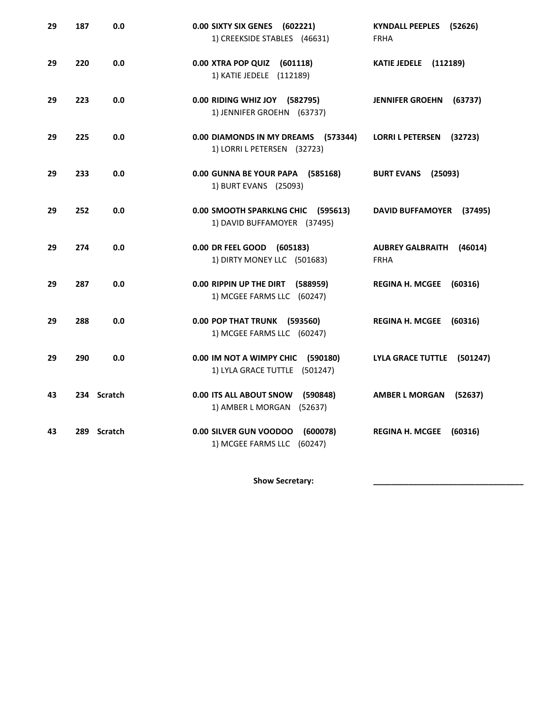| 29 | 187         | 0.0 | 0.00 SIXTY SIX GENES<br>(602221)<br>1) CREEKSIDE STABLES (46631)         | <b>KYNDALL PEEPLES</b><br>(52626)<br><b>FRHA</b>  |
|----|-------------|-----|--------------------------------------------------------------------------|---------------------------------------------------|
| 29 | 220         | 0.0 | 0.00 XTRA POP QUIZ<br>(601118)<br>1) KATIE JEDELE (112189)               | <b>KATIE JEDELE</b> (112189)                      |
| 29 | 223         | 0.0 | 0.00 RIDING WHIZ JOY (582795)<br>1) JENNIFER GROEHN (63737)              | <b>JENNIFER GROEHN</b><br>(63737)                 |
| 29 | 225         | 0.0 | 0.00 DIAMONDS IN MY DREAMS (573344)<br>1) LORRI L PETERSEN (32723)       | <b>LORRI L PETERSEN</b><br>(32723)                |
| 29 | 233         | 0.0 | 0.00 GUNNA BE YOUR PAPA<br>(585168)<br>1) BURT EVANS (25093)             | <b>BURT EVANS</b><br>(25093)                      |
| 29 | 252         | 0.0 | 0.00 SMOOTH SPARKLNG CHIC<br>(595613)<br>1) DAVID BUFFAMOYER (37495)     | <b>DAVID BUFFAMOYER</b><br>(37495)                |
| 29 | 274         | 0.0 | 0.00 DR FEEL GOOD<br>(605183)<br>1) DIRTY MONEY LLC (501683)             | <b>AUBREY GALBRAITH</b><br>(46014)<br><b>FRHA</b> |
| 29 | 287         | 0.0 | 0.00 RIPPIN UP THE DIRT<br>(588959)<br>1) MCGEE FARMS LLC (60247)        | <b>REGINA H. MCGEE</b><br>(60316)                 |
| 29 | 288         | 0.0 | 0.00 POP THAT TRUNK (593560)<br>1) MCGEE FARMS LLC (60247)               | <b>REGINA H. MCGEE</b><br>(60316)                 |
| 29 | 290         | 0.0 | 0.00 IM NOT A WIMPY CHIC<br>(590180)<br>1) LYLA GRACE TUTTLE<br>(501247) | <b>LYLA GRACE TUTTLE</b><br>(501247)              |
| 43 | 234 Scratch |     | 0.00 ITS ALL ABOUT SNOW<br>(590848)<br>1) AMBER L MORGAN<br>(52637)      | <b>AMBER L MORGAN</b><br>(52637)                  |
| 43 | 289 Scratch |     | 0.00 SILVER GUN VOODOO<br>(600078)<br>1) MCGEE FARMS LLC (60247)         | <b>REGINA H. MCGEE</b><br>(60316)                 |

Show Secretary: